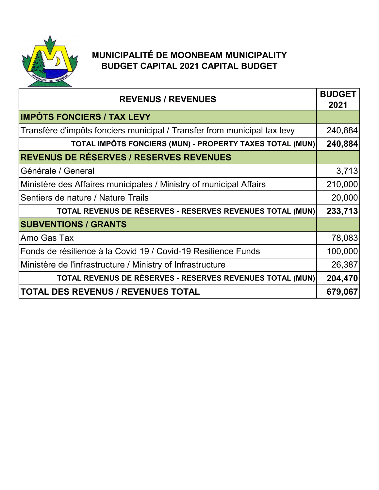

## **MUNICIPALITÉ DE MOONBEAM MUNICIPALITY BUDGET CAPITAL 2021 CAPITAL BUDGET**

| <b>REVENUS / REVENUES</b>                                                | <b>BUDGET</b><br>2021 |
|--------------------------------------------------------------------------|-----------------------|
| <b>IMPÔTS FONCIERS / TAX LEVY</b>                                        |                       |
| Transfère d'impôts fonciers municipal / Transfer from municipal tax levy | 240,884               |
| TOTAL IMPÔTS FONCIERS (MUN) - PROPERTY TAXES TOTAL (MUN)                 | 240,884               |
| <b>REVENUS DE RÉSERVES / RESERVES REVENUES</b>                           |                       |
| Générale / General                                                       | 3,713                 |
| Ministère des Affaires municipales / Ministry of municipal Affairs       | 210,000               |
| Sentiers de nature / Nature Trails                                       | 20,000                |
| TOTAL REVENUS DE RÉSERVES - RESERVES REVENUES TOTAL (MUN)                | 233,713               |
| <b>SUBVENTIONS / GRANTS</b>                                              |                       |
| Amo Gas Tax                                                              | 78,083                |
| Fonds de résilience à la Covid 19 / Covid-19 Resilience Funds            | 100,000               |
| Ministère de l'infrastructure / Ministry of Infrastructure               | 26,387                |
| TOTAL REVENUS DE RÉSERVES - RESERVES REVENUES TOTAL (MUN)                | 204,470               |
| <b>TOTAL DES REVENUS / REVENUES TOTAL</b>                                | 679,067               |